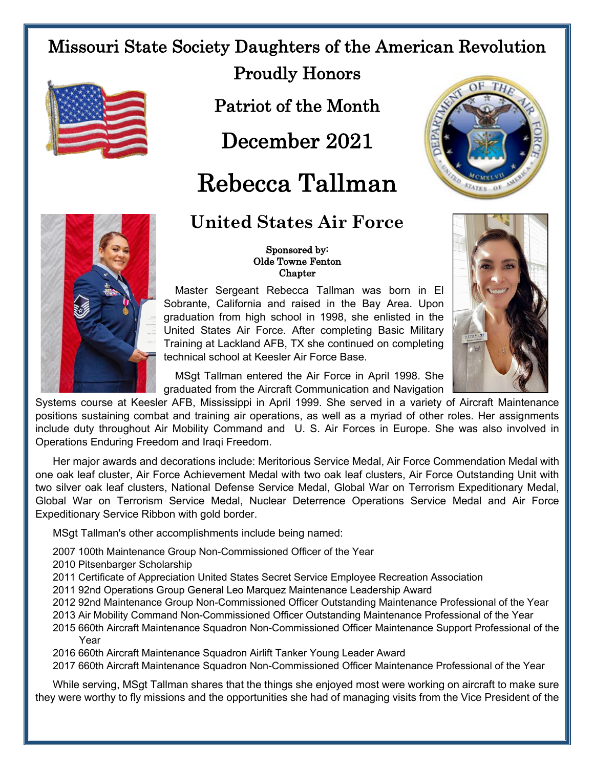## Missouri State Society Daughters of the American Revolution



Proudly Honors

Patriot of the Month

December 2021

# Rebecca Tallman

### **United States Air Force**



### Sponsored by: Olde Towne Fenton Chapter

Master Sergeant Rebecca Tallman was born in El Sobrante, California and raised in the Bay Area. Upon graduation from high school in 1998, she enlisted in the United States Air Force. After completing Basic Military Training at Lackland AFB, TX she continued on completing technical school at Keesler Air Force Base.



MSgt Tallman entered the Air Force in April 1998. She graduated from the Aircraft Communication and Navigation

Systems course at Keesler AFB, Mississippi in April 1999. She served in a variety of Aircraft Maintenance positions sustaining combat and training air operations, as well as a myriad of other roles. Her assignments include duty throughout Air Mobility Command and U. S. Air Forces in Europe. She was also involved in Operations Enduring Freedom and Iraqi Freedom.

Her major awards and decorations include: Meritorious Service Medal, Air Force Commendation Medal with one oak leaf cluster, Air Force Achievement Medal with two oak leaf clusters, Air Force Outstanding Unit with two silver oak leaf clusters, National Defense Service Medal, Global War on Terrorism Expeditionary Medal, Global War on Terrorism Service Medal, Nuclear Deterrence Operations Service Medal and Air Force Expeditionary Service Ribbon with gold border.

MSgt Tallman's other accomplishments include being named:

2007 100th Maintenance Group Non-Commissioned Officer of the Year

- 2010 Pitsenbarger Scholarship
- 2011 Certificate of Appreciation United States Secret Service Employee Recreation Association
- 2011 92nd Operations Group General Leo Marquez Maintenance Leadership Award
- 2012 92nd Maintenance Group Non-Commissioned Officer Outstanding Maintenance Professional of the Year
- 2013 Air Mobility Command Non-Commissioned Officer Outstanding Maintenance Professional of the Year
- 2015 660th Aircraft Maintenance Squadron Non-Commissioned Officer Maintenance Support Professional of the Year
- 2016 660th Aircraft Maintenance Squadron Airlift Tanker Young Leader Award

2017 660th Aircraft Maintenance Squadron Non-Commissioned Officer Maintenance Professional of the Year

While serving, MSgt Tallman shares that the things she enjoyed most were working on aircraft to make sure they were worthy to fly missions and the opportunities she had of managing visits from the Vice President of the